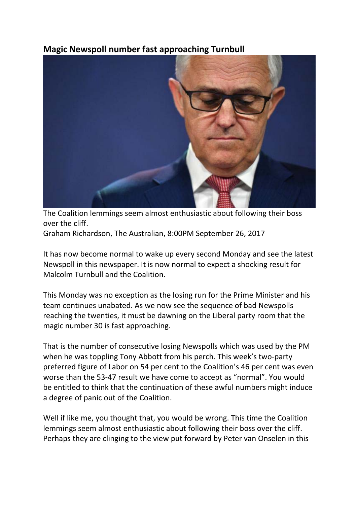## **Magic Newspoll number fast approaching Turnbull**



The Coalition lemmings seem almost enthusiastic about following their boss over the cliff.

Graham Richardson, The Australian, 8:00PM September 26, 2017

It has now become normal to wake up every second Monday and see the latest Newspoll in this newspaper. It is now normal to expect a shocking result for Malcolm Turnbull and the Coalition.

This Monday was no exception as the losing run for the Prime Minister and his team continues unabated. As we now see the sequence of bad Newspolls reaching the twenties, it must be dawning on the Liberal party room that the magic number 30 is fast approaching.

That is the number of consecutive losing Newspolls which was used by the PM when he was toppling Tony Abbott from his perch. This week's two-party preferred figure of Labor on 54 per cent to the Coalition's 46 per cent was even worse than the 53-47 result we have come to accept as "normal". You would be entitled to think that the continuation of these awful numbers might induce a degree of panic out of the Coalition.

Well if like me, you thought that, you would be wrong. This time the Coalition lemmings seem almost enthusiastic about following their boss over the cliff. Perhaps they are clinging to the view put forward by Peter van Onselen in this